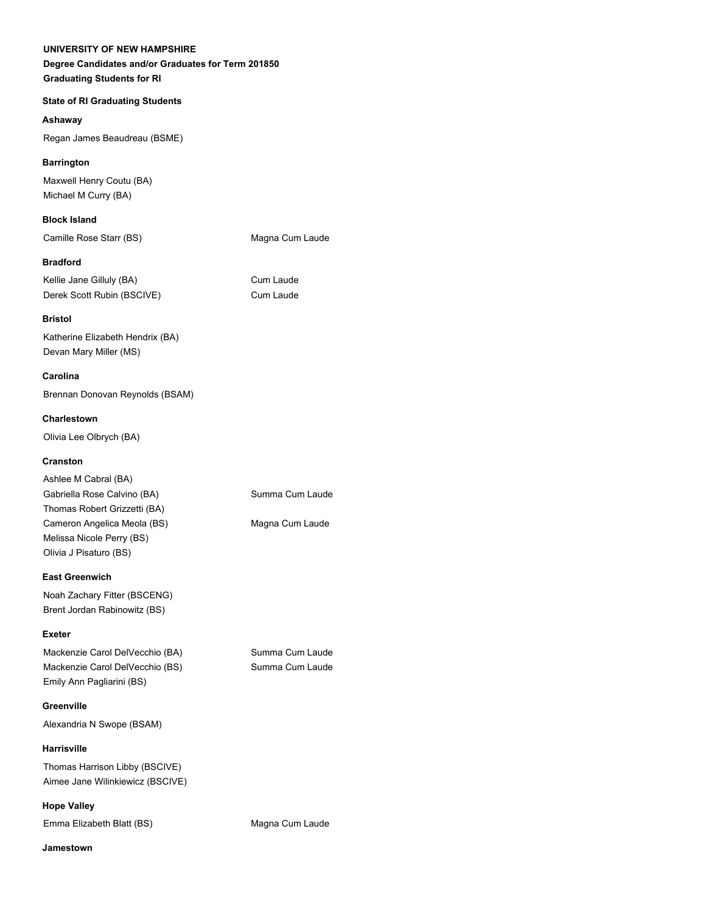#### **UNIVERSITY OF NEW HAMPSHIRE**

# **Degree Candidates and/or Graduates for Term 201850 Graduating Students for RI**

# **State of RI Graduating Students**

# **Ashaway**

Regan James Beaudreau (BSME)

# **Barrington**

Maxwell Henry Coutu (BA) Michael M Curry (BA)

**Block Island**

Camille Rose Starr (BS) Magna Cum Laude

# **Bradford**

Kellie Jane Gilluly (BA) Cum Laude Derek Scott Rubin (BSCIVE) Cum Laude

# **Bristol**

Katherine Elizabeth Hendrix (BA) Devan Mary Miller (MS)

# **Carolina**

Brennan Donovan Reynolds (BSAM)

# **Charlestown**

Olivia Lee Olbrych (BA)

# **Cranston**

| Ashlee M Cabral (BA)         |                 |
|------------------------------|-----------------|
| Gabriella Rose Calvino (BA)  | Summa Cum Laude |
| Thomas Robert Grizzetti (BA) |                 |
| Cameron Angelica Meola (BS)  | Magna Cum Laude |
| Melissa Nicole Perry (BS)    |                 |
| Olivia J Pisaturo (BS)       |                 |

#### **East Greenwich**

Noah Zachary Fitter (BSCENG) Brent Jordan Rabinowitz (BS)

#### **Exeter**

Mackenzie Carol DelVecchio (BA) Summa Cum Laude Mackenzie Carol DelVecchio (BS) Summa Cum Laude Emily Ann Pagliarini (BS)

**Greenville**

Alexandria N Swope (BSAM)

#### **Harrisville**

Thomas Harrison Libby (BSCIVE) Aimee Jane Wilinkiewicz (BSCIVE)

#### **Hope Valley**

Emma Elizabeth Blatt (BS) Magna Cum Laude

#### **Jamestown**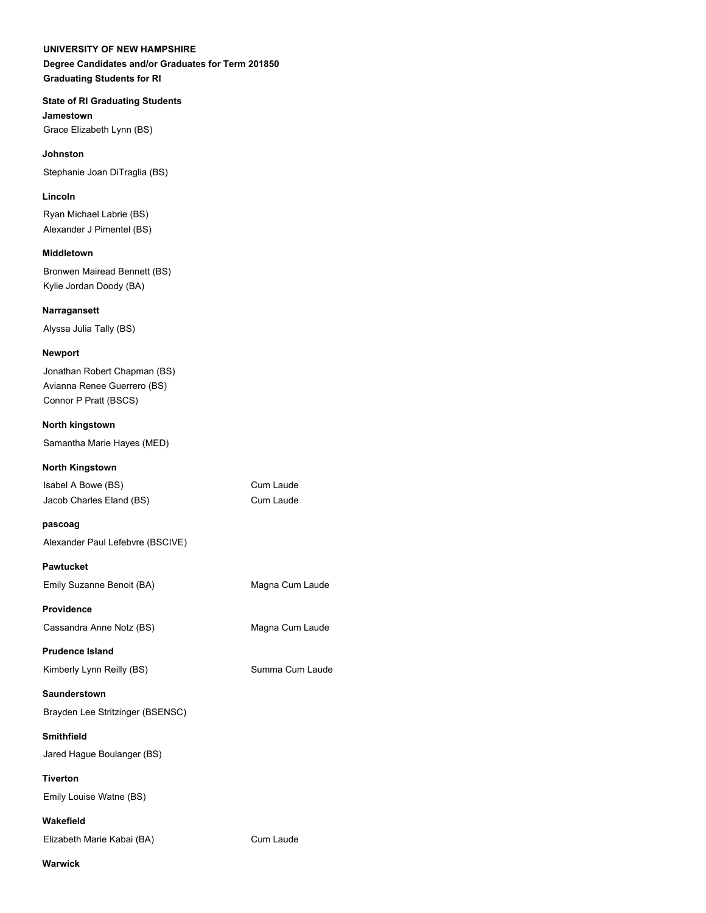#### **UNIVERSITY OF NEW HAMPSHIRE**

# **Degree Candidates and/or Graduates for Term 201850 Graduating Students for RI**

# **State of RI Graduating Students**

**Jamestown** Grace Elizabeth Lynn (BS)

#### **Johnston**

Stephanie Joan DiTraglia (BS)

# **Lincoln**

Ryan Michael Labrie (BS) Alexander J Pimentel (BS)

# **Middletown**

Bronwen Mairead Bennett (BS) Kylie Jordan Doody (BA)

# **Narragansett**

Alyssa Julia Tally (BS)

# **Newport**

Jonathan Robert Chapman (BS) Avianna Renee Guerrero (BS) Connor P Pratt (BSCS)

#### **North kingstown**

Samantha Marie Hayes (MED)

#### **North Kingstown**

| Isabel A Bowe (BS)       |  |
|--------------------------|--|
| Jacob Charles Eland (BS) |  |

Cum Laude Cum Laude

# **pascoag**

Alexander Paul Lefebvre (BSCIVE)

# **Pawtucket**

Emily Suzanne Benoit (BA) Magna Cum Laude

#### **Providence**

Cassandra Anne Notz (BS) Magna Cum Laude

**Prudence Island**

Kimberly Lynn Reilly (BS) Summa Cum Laude

#### **Saunderstown**

Brayden Lee Stritzinger (BSENSC)

# **Smithfield**

Jared Hague Boulanger (BS)

# **Tiverton**

Emily Louise Watne (BS)

# **Wakefield**

Elizabeth Marie Kabai (BA) Cum Laude

**Warwick**